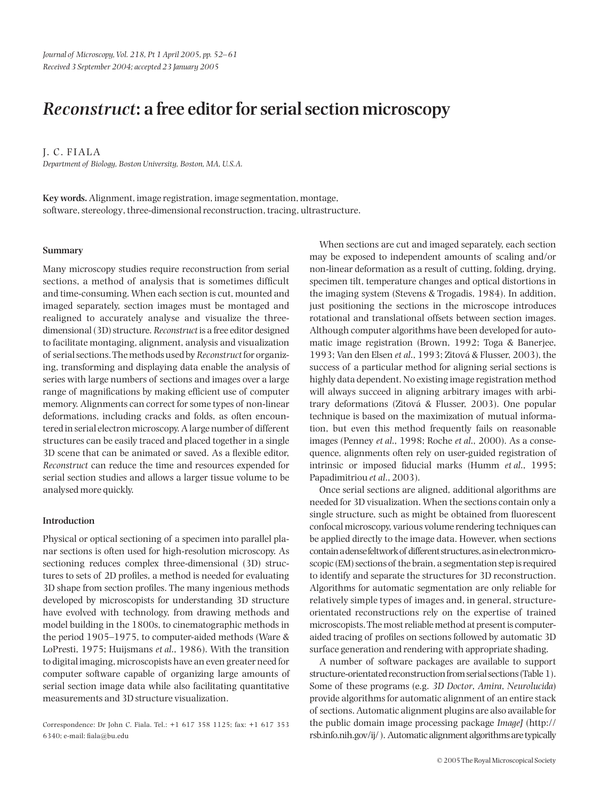# **Reconstruct: a free editor for serial section microscopy**

J. C. FIALA

*Department of Biology, Boston University, Boston, MA, U.S.A.* 

**Key words.** Alignment, image registration, image segmentation, montage, software, stereology, three-dimensional reconstruction, tracing, ultrastructure.

#### **Summary**

Many microscopy studies require reconstruction from serial sections, a method of analysis that is sometimes difficult and time-consuming. When each section is cut, mounted and imaged separately, section images must be montaged and realigned to accurately analyse and visualize the threedimensional (3D) structure. *Reconstruct*is a free editor designed to facilitate montaging, alignment, analysis and visualization of serial sections. The methods used by *Reconstruct*for organizing, transforming and displaying data enable the analysis of series with large numbers of sections and images over a large range of magnifications by making efficient use of computer memory. Alignments can correct for some types of non-linear deformations, including cracks and folds, as often encountered in serial electron microscopy. A large number of different structures can be easily traced and placed together in a single 3D scene that can be animated or saved. As a flexible editor, *Reconstruct* can reduce the time and resources expended for serial section studies and allows a larger tissue volume to be analysed more quickly.

# **Introduction**

Physical or optical sectioning of a specimen into parallel planar sections is often used for high-resolution microscopy. As sectioning reduces complex three-dimensional (3D) structures to sets of 2D profiles, a method is needed for evaluating 3D shape from section profiles. The many ingenious methods developed by microscopists for understanding 3D structure have evolved with technology, from drawing methods and model building in the 1800s, to cinematographic methods in the period 1905–1975, to computer-aided methods (Ware & LoPresti, 1975; Huijsmans *et al*., 1986). With the transition to digital imaging, microscopists have an even greater need for computer software capable of organizing large amounts of serial section image data while also facilitating quantitative measurements and 3D structure visualization.

Correspondence: Dr John C. Fiala. Tel.: +1 617 358 1125; fax: +1 617 353 6340; e-mail: fiala@bu.edu

When sections are cut and imaged separately, each section may be exposed to independent amounts of scaling and/or non-linear deformation as a result of cutting, folding, drying, specimen tilt, temperature changes and optical distortions in the imaging system (Stevens & Trogadis, 1984). In addition, just positioning the sections in the microscope introduces rotational and translational offsets between section images. Although computer algorithms have been developed for automatic image registration (Brown, 1992; Toga & Banerjee, 1993; Van den Elsen *et al*., 1993; Zitová & Flusser, 2003), the success of a particular method for aligning serial sections is highly data dependent. No existing image registration method will always succeed in aligning arbitrary images with arbitrary deformations (Zitová & Flusser, 2003). One popular technique is based on the maximization of mutual information, but even this method frequently fails on reasonable images (Penney *et al*., 1998; Roche *et al*., 2000). As a consequence, alignments often rely on user-guided registration of intrinsic or imposed fiducial marks (Humm *et al*., 1995; Papadimitriou *et al*., 2003).

Once serial sections are aligned, additional algorithms are needed for 3D visualization. When the sections contain only a single structure, such as might be obtained from fluorescent confocal microscopy, various volume rendering techniques can be applied directly to the image data. However, when sections contain a dense feltwork of different structures, as in electron microscopic (EM) sections of the brain, a segmentation step is required to identify and separate the structures for 3D reconstruction. Algorithms for automatic segmentation are only reliable for relatively simple types of images and, in general, structureorientated reconstructions rely on the expertise of trained microscopists. The most reliable method at present is computeraided tracing of profiles on sections followed by automatic 3D surface generation and rendering with appropriate shading.

A number of software packages are available to support structure-orientated reconstruction from serial sections (Table 1). Some of these programs (e.g. *3D Doctor*, *Amira*, *Neurolucida*) provide algorithms for automatic alignment of an entire stack of sections. Automatic alignment plugins are also available for the public domain image processing package *ImageJ* [\(http://](http://) rsb.info.nih.gov/ij/). Automatic alignment algorithms are typically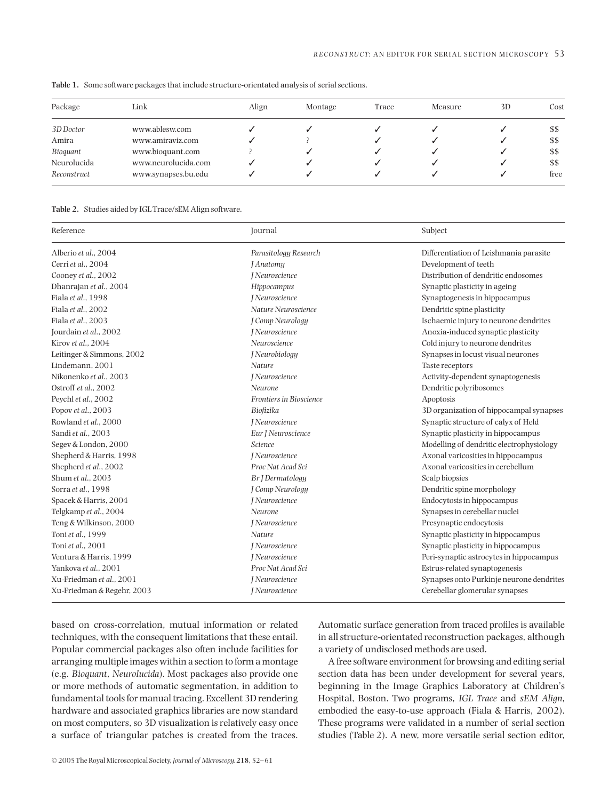| Package     | Link                | Align | Montage | Trace | Measure | 3D | Cost |
|-------------|---------------------|-------|---------|-------|---------|----|------|
| 3D Doctor   | www.ablesw.com      |       |         |       |         |    | SS.  |
| Amira       | www.amiraviz.com    |       |         |       |         |    | SS.  |
| Bioquant    | www.bioquant.com    |       |         |       |         |    | \$\$ |
| Neurolucida | www.neurolucida.com |       |         |       |         |    | SS.  |
| Reconstruct | www.synapses.bu.edu |       |         |       |         |    | free |

**Table 1.** Some software packages that include structure-orientated analysis of serial sections.

**Table 2.** Studies aided by IGL Trace/sEM Align software.

| Reference                  | Journal                 | Subject                                  |  |  |
|----------------------------|-------------------------|------------------------------------------|--|--|
| Alberio et al., 2004       | Parasitology Research   | Differentiation of Leishmania parasite   |  |  |
| Cerri et al., 2004         | J Anatomy               | Development of teeth                     |  |  |
| Cooney et al., 2002        | J Neuroscience          | Distribution of dendritic endosomes      |  |  |
| Dhanrajan et al., 2004     | Hippocampus             | Synaptic plasticity in ageing            |  |  |
| Fiala et al., 1998         | J Neuroscience          | Synaptogenesis in hippocampus            |  |  |
| Fiala et al., 2002         | Nature Neuroscience     | Dendritic spine plasticity               |  |  |
| Fiala et al., 2003         | J Comp Neurology        | Ischaemic injury to neurone dendrites    |  |  |
| Jourdain et al., 2002      | J Neuroscience          | Anoxia-induced synaptic plasticity       |  |  |
| Kirov et al., 2004         | Neuroscience            | Cold injury to neurone dendrites         |  |  |
| Leitinger & Simmons, 2002  | J Neurobiology          | Synapses in locust visual neurones       |  |  |
| Lindemann, 2001            | Nature                  | Taste receptors                          |  |  |
| Nikonenko et al., 2003     | <i>I</i> Neuroscience   | Activity-dependent synaptogenesis        |  |  |
| Ostroff et al., 2002       | Neurone                 | Dendritic polyribosomes                  |  |  |
| Peychl et al., 2002        | Frontiers in Bioscience | Apoptosis                                |  |  |
| Popov et al., 2003         | Biofizika               | 3D organization of hippocampal synapses  |  |  |
| Rowland et al., 2000       | J Neuroscience          | Synaptic structure of calyx of Held      |  |  |
| Sandi et al., 2003         | Eur J Neuroscience      | Synaptic plasticity in hippocampus       |  |  |
| Segev & London, 2000       | Science                 | Modelling of dendritic electrophysiology |  |  |
| Shepherd & Harris, 1998    | <i>I</i> Neuroscience   | Axonal varicosities in hippocampus       |  |  |
| Shepherd et al., 2002      | Proc Nat Acad Sci       | Axonal varicosities in cerebellum        |  |  |
| Shum et al., 2003          | Br J Dermatology        | Scalp biopsies                           |  |  |
| Sorra et al., 1998         | J Comp Neurology        | Dendritic spine morphology               |  |  |
| Spacek & Harris, 2004      | <i>I</i> Neuroscience   | Endocytosis in hippocampus               |  |  |
| Telgkamp et al., 2004      | Neurone                 | Synapses in cerebellar nuclei            |  |  |
| Teng & Wilkinson, 2000     | J Neuroscience          | Presynaptic endocytosis                  |  |  |
| Toni et al., 1999          | Nature                  | Synaptic plasticity in hippocampus       |  |  |
| Toni et al., 2001          | J Neuroscience          | Synaptic plasticity in hippocampus       |  |  |
| Ventura & Harris, 1999     | <i>I</i> Neuroscience   | Peri-synaptic astrocytes in hippocampus  |  |  |
| Yankova et al., 2001       | Proc Nat Acad Sci       | Estrus-related synaptogenesis            |  |  |
| Xu-Friedman et al., 2001   | J Neuroscience          | Synapses onto Purkinje neurone dendrites |  |  |
| Xu-Friedman & Regehr, 2003 | J Neuroscience          | Cerebellar glomerular synapses           |  |  |

based on cross-correlation, mutual information or related techniques, with the consequent limitations that these entail. Popular commercial packages also often include facilities for arranging multiple images within a section to form a montage (e.g. *Bioquant*, *Neurolucida*). Most packages also provide one or more methods of automatic segmentation, in addition to fundamental tools for manual tracing. Excellent 3D rendering hardware and associated graphics libraries are now standard on most computers, so 3D visualization is relatively easy once a surface of triangular patches is created from the traces.

Automatic surface generation from traced profiles is available in all structure-orientated reconstruction packages, although a variety of undisclosed methods are used.

A free software environment for browsing and editing serial section data has been under development for several years, beginning in the Image Graphics Laboratory at Children's Hospital, Boston. Two programs, *IGL Trace* and *sEM Align*, embodied the easy-to-use approach (Fiala & Harris, 2002). These programs were validated in a number of serial section studies (Table 2). A new, more versatile serial section editor,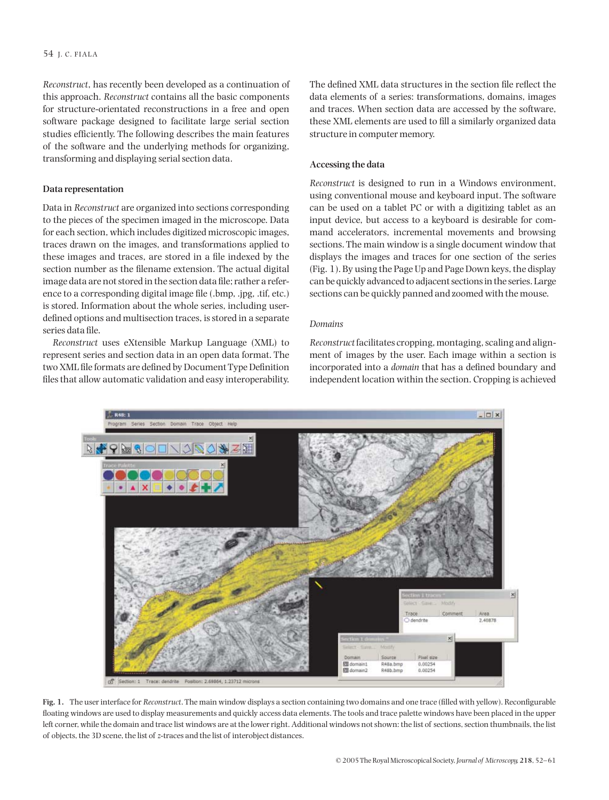*Reconstruct*, has recently been developed as a continuation of this approach. *Reconstruct* contains all the basic components for structure-orientated reconstructions in a free and open software package designed to facilitate large serial section studies efficiently. The following describes the main features of the software and the underlying methods for organizing, transforming and displaying serial section data.

# **Data representation**

Data in *Reconstruct* are organized into sections corresponding to the pieces of the specimen imaged in the microscope. Data for each section, which includes digitized microscopic images, traces drawn on the images, and transformations applied to these images and traces, are stored in a file indexed by the section number as the filename extension. The actual digital image data are not stored in the section data file; rather a reference to a corresponding digital image file (.bmp, .jpg, .tif, etc.) is stored. Information about the whole series, including userdefined options and multisection traces, is stored in a separate series data file.

*Reconstruct* uses eXtensible Markup Language (XML) to represent series and section data in an open data format. The two XML file formats are defined by Document Type Definition files that allow automatic validation and easy interoperability.

The defined XML data structures in the section file reflect the data elements of a series: transformations, domains, images and traces. When section data are accessed by the software, these XML elements are used to fill a similarly organized data structure in computer memory.

## **Accessing the data**

*Reconstruct* is designed to run in a Windows environment, using conventional mouse and keyboard input. The software can be used on a tablet PC or with a digitizing tablet as an input device, but access to a keyboard is desirable for command accelerators, incremental movements and browsing sections. The main window is a single document window that displays the images and traces for one section of the series (Fig. 1). By using the Page Up and Page Down keys, the display can be quickly advanced to adjacent sections in the series. Large sections can be quickly panned and zoomed with the mouse.

#### *Domains*

*Reconstruct*facilitates cropping, montaging, scaling and alignment of images by the user. Each image within a section is incorporated into a *domain* that has a defined boundary and independent location within the section. Cropping is achieved



**Fig. 1.** The user interface for *Reconstruct*. The main window displays a section containing two domains and one trace (filled with yellow). Reconfigurable floating windows are used to display measurements and quickly access data elements. The tools and trace palette windows have been placed in the upper left corner, while the domain and trace list windows are at the lower right. Additional windows not shown: the list of sections, section thumbnails, the list of objects, the 3D scene, the list of *z*-traces and the list of interobject distances.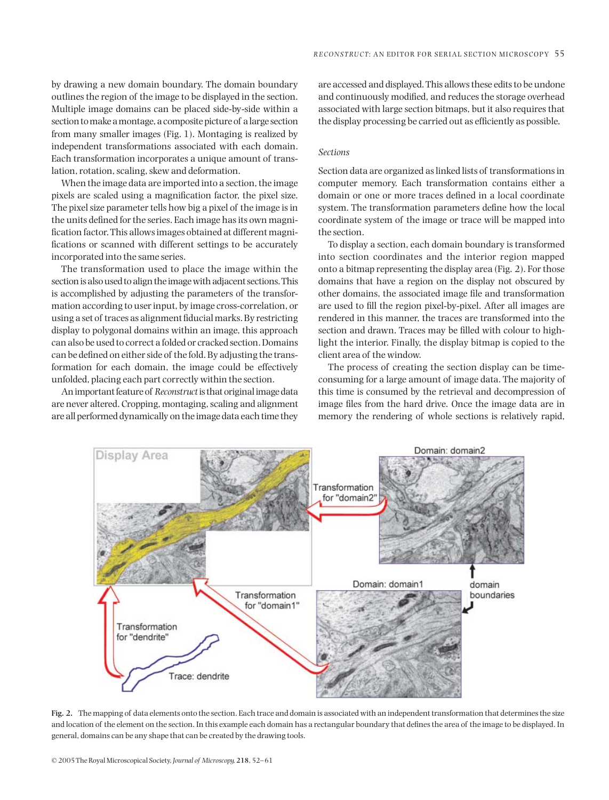by drawing a new domain boundary. The domain boundary outlines the region of the image to be displayed in the section. Multiple image domains can be placed side-by-side within a section to make a montage, a composite picture of a large section from many smaller images (Fig. 1). Montaging is realized by independent transformations associated with each domain. Each transformation incorporates a unique amount of translation, rotation, scaling, skew and deformation.

When the image data are imported into a section, the image pixels are scaled using a magnification factor, the pixel size. The pixel size parameter tells how big a pixel of the image is in the units defined for the series. Each image has its own magnification factor. This allows images obtained at different magnifications or scanned with different settings to be accurately incorporated into the same series.

The transformation used to place the image within the section is also used to align the image with adjacent sections. This is accomplished by adjusting the parameters of the transformation according to user input, by image cross-correlation, or using a set of traces as alignment fiducial marks. By restricting display to polygonal domains within an image, this approach can also be used to correct a folded or cracked section. Domains can be defined on either side of the fold. By adjusting the transformation for each domain, the image could be effectively unfolded, placing each part correctly within the section.

An important feature of *Reconstruct*is that original image data are never altered. Cropping, montaging, scaling and alignment are all performed dynamically on the image data each time they are accessed and displayed. This allows these edits to be undone and continuously modified, and reduces the storage overhead associated with large section bitmaps, but it also requires that the display processing be carried out as efficiently as possible.

#### *Sections*

Section data are organized as linked lists of transformations in computer memory. Each transformation contains either a domain or one or more traces defined in a local coordinate system. The transformation parameters define how the local coordinate system of the image or trace will be mapped into the section.

To display a section, each domain boundary is transformed into section coordinates and the interior region mapped onto a bitmap representing the display area (Fig. 2). For those domains that have a region on the display not obscured by other domains, the associated image file and transformation are used to fill the region pixel-by-pixel. After all images are rendered in this manner, the traces are transformed into the section and drawn. Traces may be filled with colour to highlight the interior. Finally, the display bitmap is copied to the client area of the window.

The process of creating the section display can be timeconsuming for a large amount of image data. The majority of this time is consumed by the retrieval and decompression of image files from the hard drive. Once the image data are in memory the rendering of whole sections is relatively rapid,



**Fig. 2.** The mapping of data elements onto the section. Each trace and domain is associated with an independent transformation that determines the size and location of the element on the section. In this example each domain has a rectangular boundary that defines the area of the image to be displayed. In general, domains can be any shape that can be created by the drawing tools.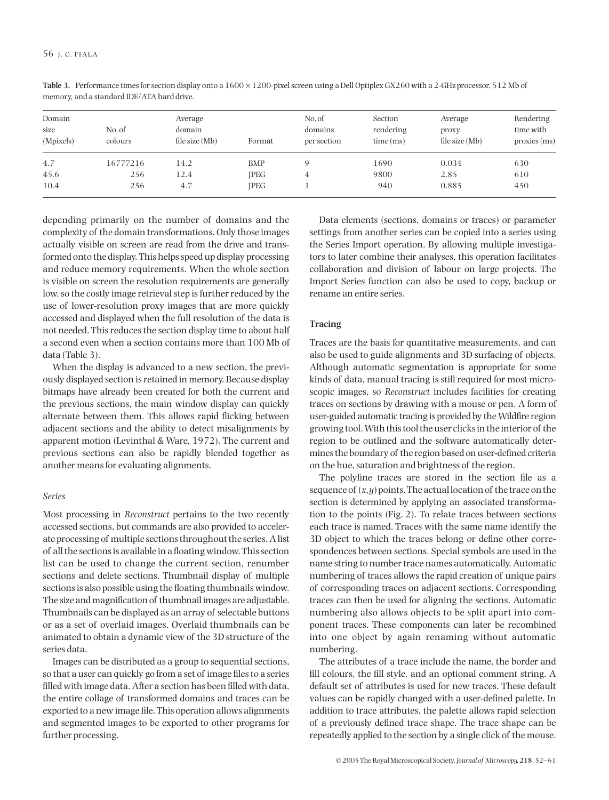| Domain<br>size<br>(Mpixels) | No. of<br>colours | Average<br>domain<br>file size $(Mb)$ | Format      | No.of<br>domains<br>per section | Section<br>rendering<br>time(ms) | Average<br>proxy<br>file size $(Mb)$ | Rendering<br>time with<br>$proxies$ (ms) |
|-----------------------------|-------------------|---------------------------------------|-------------|---------------------------------|----------------------------------|--------------------------------------|------------------------------------------|
| 4.7                         | 16777216          | 14.2                                  | <b>BMP</b>  | u                               | 1690                             | 0.034                                | 630                                      |
| 45.6                        | 256               | 12.4                                  | <b>JPEG</b> | 4                               | 9800                             | 2.85                                 | 610                                      |
| 10.4                        | 256               | 4.7                                   | <b>IPEG</b> |                                 | 940                              | 0.885                                | 450                                      |

**Table 3.** Performance times for section display onto a 1600 × 1200-pixel screen using a Dell Optiplex GX260 with a 2-GHz processor, 512 Mb of memory, and a standard IDE/ATA hard drive.

depending primarily on the number of domains and the complexity of the domain transformations. Only those images actually visible on screen are read from the drive and transformed onto the display. This helps speed up display processing and reduce memory requirements. When the whole section is visible on screen the resolution requirements are generally low, so the costly image retrieval step is further reduced by the use of lower-resolution proxy images that are more quickly accessed and displayed when the full resolution of the data is not needed. This reduces the section display time to about half a second even when a section contains more than 100 Mb of data (Table 3).

When the display is advanced to a new section, the previously displayed section is retained in memory. Because display bitmaps have already been created for both the current and the previous sections, the main window display can quickly alternate between them. This allows rapid flicking between adjacent sections and the ability to detect misalignments by apparent motion (Levinthal & Ware, 1972). The current and previous sections can also be rapidly blended together as another means for evaluating alignments.

# *Series*

Most processing in *Reconstruct* pertains to the two recently accessed sections, but commands are also provided to accelerate processing of multiple sections throughout the series. A list of all the sections is available in a floating window. This section list can be used to change the current section, renumber sections and delete sections. Thumbnail display of multiple sections is also possible using the floating thumbnails window. The size and magnification of thumbnail images are adjustable. Thumbnails can be displayed as an array of selectable buttons or as a set of overlaid images. Overlaid thumbnails can be animated to obtain a dynamic view of the 3D structure of the series data.

Images can be distributed as a group to sequential sections, so that a user can quickly go from a set of image files to a series filled with image data. After a section has been filled with data, the entire collage of transformed domains and traces can be exported to a new image file. This operation allows alignments and segmented images to be exported to other programs for further processing.

Data elements (sections, domains or traces) or parameter settings from another series can be copied into a series using the Series Import operation. By allowing multiple investigators to later combine their analyses, this operation facilitates collaboration and division of labour on large projects. The Import Series function can also be used to copy, backup or rename an entire series.

## **Tracing**

Traces are the basis for quantitative measurements, and can also be used to guide alignments and 3D surfacing of objects. Although automatic segmentation is appropriate for some kinds of data, manual tracing is still required for most microscopic images, so *Reconstruct* includes facilities for creating traces on sections by drawing with a mouse or pen. A form of user-guided automatic tracing is provided by the Wildfire region growing tool. With this tool the user clicks in the interior of the region to be outlined and the software automatically determines the boundary of the region based on user-defined criteria on the hue, saturation and brightness of the region.

The polyline traces are stored in the section file as a sequence of (*x*,*y*) points. The actual location of the trace on the section is determined by applying an associated transformation to the points (Fig. 2). To relate traces between sections each trace is named. Traces with the same name identify the 3D object to which the traces belong or define other correspondences between sections. Special symbols are used in the name string to number trace names automatically. Automatic numbering of traces allows the rapid creation of unique pairs of corresponding traces on adjacent sections. Corresponding traces can then be used for aligning the sections. Automatic numbering also allows objects to be split apart into component traces. These components can later be recombined into one object by again renaming without automatic numbering.

The attributes of a trace include the name, the border and fill colours, the fill style, and an optional comment string. A default set of attributes is used for new traces. These default values can be rapidly changed with a user-defined palette. In addition to trace attributes, the palette allows rapid selection of a previously defined trace shape. The trace shape can be repeatedly applied to the section by a single click of the mouse.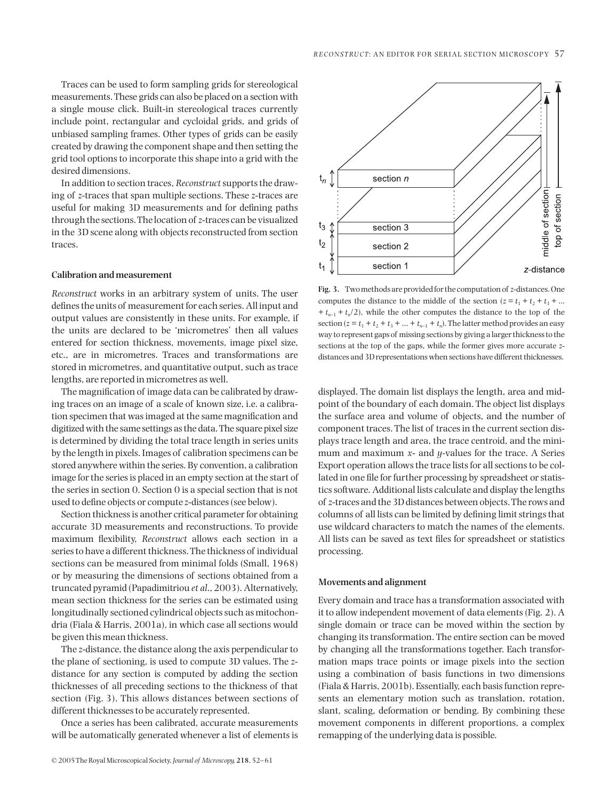Traces can be used to form sampling grids for stereological measurements. These grids can also be placed on a section with a single mouse click. Built-in stereological traces currently include point, rectangular and cycloidal grids, and grids of unbiased sampling frames. Other types of grids can be easily created by drawing the component shape and then setting the grid tool options to incorporate this shape into a grid with the desired dimensions.

In addition to section traces, *Reconstruct*supports the drawing of *z-*traces that span multiple sections. These *z*-traces are useful for making 3D measurements and for defining paths through the sections. The location of *z*-traces can be visualized in the 3D scene along with objects reconstructed from section traces.

## **Calibration and measurement**

*Reconstruct* works in an arbitrary system of units. The user defines the units of measurement for each series. All input and output values are consistently in these units. For example, if the units are declared to be 'micrometres' then all values entered for section thickness, movements, image pixel size, etc., are in micrometres. Traces and transformations are stored in micrometres, and quantitative output, such as trace lengths, are reported in micrometres as well.

The magnification of image data can be calibrated by drawing traces on an image of a scale of known size, i.e. a calibration specimen that was imaged at the same magnification and digitized with the same settings as the data. The square pixel size is determined by dividing the total trace length in series units by the length in pixels. Images of calibration specimens can be stored anywhere within the series. By convention, a calibration image for the series is placed in an empty section at the start of the series in section 0. Section 0 is a special section that is not used to define objects or compute *z*-distances (see below).

Section thickness is another critical parameter for obtaining accurate 3D measurements and reconstructions. To provide maximum flexibility, *Reconstruct* allows each section in a series to have a different thickness. The thickness of individual sections can be measured from minimal folds (Small, 1968) or by measuring the dimensions of sections obtained from a truncated pyramid (Papadimitriou *et al*., 2003). Alternatively, mean section thickness for the series can be estimated using longitudinally sectioned cylindrical objects such as mitochondria (Fiala & Harris, 2001a), in which case all sections would be given this mean thickness.

The *z*-distance, the distance along the axis perpendicular to the plane of sectioning, is used to compute 3D values. The *z*distance for any section is computed by adding the section thicknesses of all preceding sections to the thickness of that section (Fig. 3). This allows distances between sections of different thicknesses to be accurately represented.

Once a series has been calibrated, accurate measurements will be automatically generated whenever a list of elements is



**Fig. 3.** Two methods are provided for the computation of *z*-distances. One computes the distance to the middle of the section ( $z = t_1 + t_2 + t_3 + ...$ + *t<sub>n</sub>* + *t<sub>n</sub>*/2), while the other computes the distance to the top of the section ( $z = t_1 + t_2 + t_3 + \dots + t_{n-1} + t_n$ ). The latter method provides an easy way to represent gaps of missing sections by giving a larger thickness to the sections at the top of the gaps, while the former gives more accurate *z*distances and 3D representations when sections have different thicknesses.

displayed. The domain list displays the length, area and midpoint of the boundary of each domain. The object list displays the surface area and volume of objects, and the number of component traces. The list of traces in the current section displays trace length and area, the trace centroid, and the minimum and maximum *x*- and *y*-values for the trace. A Series Export operation allows the trace lists for all sections to be collated in one file for further processing by spreadsheet or statistics software. Additional lists calculate and display the lengths of *z*-traces and the 3D distances between objects. The rows and columns of all lists can be limited by defining limit strings that use wildcard characters to match the names of the elements. All lists can be saved as text files for spreadsheet or statistics processing.

## **Movements and alignment**

Every domain and trace has a transformation associated with it to allow independent movement of data elements (Fig. 2). A single domain or trace can be moved within the section by changing its transformation. The entire section can be moved by changing all the transformations together. Each transformation maps trace points or image pixels into the section using a combination of basis functions in two dimensions (Fiala & Harris, 2001b). Essentially, each basis function represents an elementary motion such as translation, rotation, slant, scaling, deformation or bending. By combining these movement components in different proportions, a complex remapping of the underlying data is possible.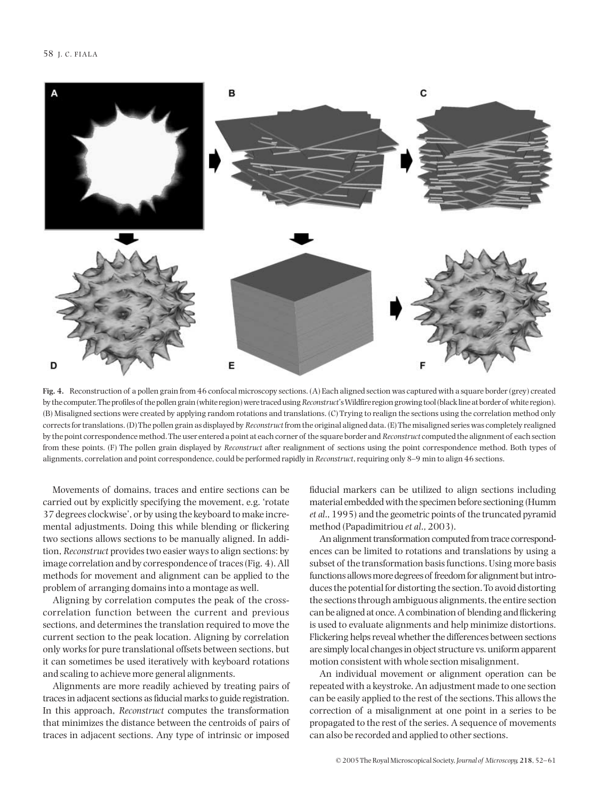

**Fig. 4.** Reconstruction of a pollen grain from 46 confocal microscopy sections. (A) Each aligned section was captured with a square border (grey) created bythe computer. The profiles of the pollen grain (white region) were traced using *Reconstruct*'sWildfire region growing tool (black line at border of white region). (B) Misaligned sections were created by applying random rotations and translations. (C) Trying to realign the sections using the correlation method only corrects for translations. (D) The pollen grain as displayed by *Reconstruct*from the original aligned data. (E) The misaligned series was completely realigned by the point correspondence method. The user entered a point at each corner of the square border and *Reconstruct* computed the alignment of each section from these points. (F) The pollen grain displayed by *Reconstruct* after realignment of sections using the point correspondence method. Both types of alignments, correlation and point correspondence, could be performed rapidly in *Reconstruct*, requiring only 8–9 min to align 46 sections.

Movements of domains, traces and entire sections can be carried out by explicitly specifying the movement, e.g. 'rotate 37 degrees clockwise', or by using the keyboard to make incremental adjustments. Doing this while blending or flickering two sections allows sections to be manually aligned. In addition, *Reconstruct* provides two easier ways to align sections: by image correlation and by correspondence of traces (Fig. 4). All methods for movement and alignment can be applied to the problem of arranging domains into a montage as well.

Aligning by correlation computes the peak of the crosscorrelation function between the current and previous sections, and determines the translation required to move the current section to the peak location. Aligning by correlation only works for pure translational offsets between sections, but it can sometimes be used iteratively with keyboard rotations and scaling to achieve more general alignments.

Alignments are more readily achieved by treating pairs of traces in adjacent sections as fiducial marks to guide registration. In this approach, *Reconstruct* computes the transformation that minimizes the distance between the centroids of pairs of traces in adjacent sections. Any type of intrinsic or imposed

fiducial markers can be utilized to align sections including material embedded with the specimen before sectioning (Humm *et al*., 1995) and the geometric points of the truncated pyramid method (Papadimitriou *et al*., 2003).

An alignment transformation computed from trace correspondences can be limited to rotations and translations by using a subset of the transformation basis functions. Using more basis functions allows more degrees of freedom for alignment but introduces the potential for distorting the section. To avoid distorting the sections through ambiguous alignments, the entire section can be aligned at once. A combination of blending and flickering is used to evaluate alignments and help minimize distortions. Flickering helps reveal whether the differences between sections are simply local changes in object structure vs. uniform apparent motion consistent with whole section misalignment.

An individual movement or alignment operation can be repeated with a keystroke. An adjustment made to one section can be easily applied to the rest of the sections. This allows the correction of a misalignment at one point in a series to be propagated to the rest of the series. A sequence of movements can also be recorded and applied to other sections.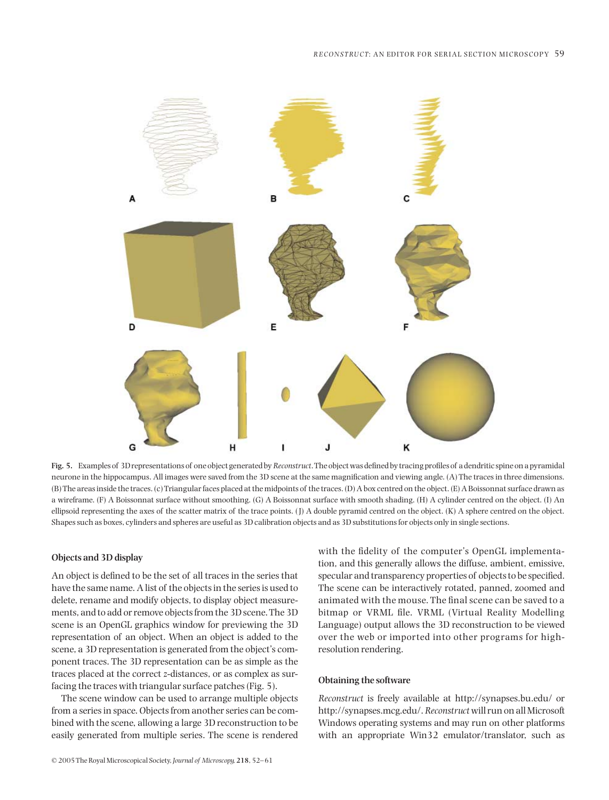

**Fig. 5.** Examples of 3D representations of one object generated by *Reconstruct*. The object was defined by tracing profiles of a dendritic spine on a pyramidal neurone in the hippocampus. All images were saved from the 3D scene at the same magnification and viewing angle. (A) The traces in three dimensions. (B) The areas inside the traces. (c) Triangular faces placed at the midpoints of the traces. (D) A box centred on the object. (E) A Boissonnat surface drawn as a wireframe. (F) A Boissonnat surface without smoothing. (G) A Boissonnat surface with smooth shading. (H) A cylinder centred on the object. (I) An ellipsoid representing the axes of the scatter matrix of the trace points. (J) A double pyramid centred on the object. (K) A sphere centred on the object. Shapes such as boxes, cylinders and spheres are useful as 3D calibration objects and as 3D substitutions for objects only in single sections.

#### **Objects and 3D display**

An object is defined to be the set of all traces in the series that have the same name. A list of the objects in the series is used to delete, rename and modify objects, to display object measurements, and to add or remove objects from the 3D scene. The 3D scene is an OpenGL graphics window for previewing the 3D representation of an object. When an object is added to the scene, a 3D representation is generated from the object's component traces. The 3D representation can be as simple as the traces placed at the correct *z*-distances, or as complex as surfacing the traces with triangular surface patches (Fig. 5).

The scene window can be used to arrange multiple objects from a series in space. Objects from another series can be combined with the scene, allowing a large 3D reconstruction to be easily generated from multiple series. The scene is rendered

with the fidelity of the computer's OpenGL implementation, and this generally allows the diffuse, ambient, emissive, specular and transparency properties of objects to be specified. The scene can be interactively rotated, panned, zoomed and animated with the mouse. The final scene can be saved to a bitmap or VRML file. VRML (Virtual Reality Modelling Language) output allows the 3D reconstruction to be viewed over the web or imported into other programs for highresolution rendering.

## **Obtaining the software**

*Reconstruct* is freely available at <http://synapses.bu.edu/>or [http://synapses.mcg.edu/.](http://synapses.mcg.edu/) *Reconstruct*will run on all Microsoft Windows operating systems and may run on other platforms with an appropriate Win32 emulator/translator, such as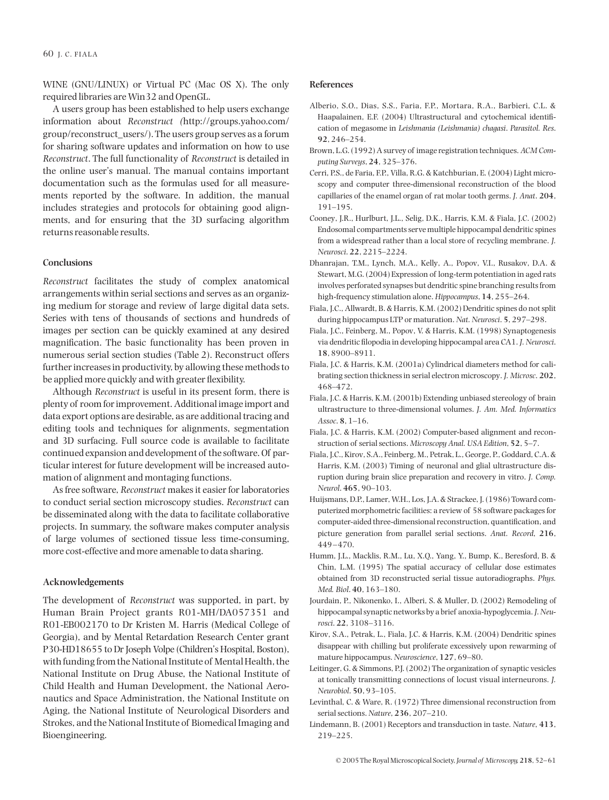WINE (GNU/LINUX) or Virtual PC (Mac OS X). The only required libraries are Win32 and OpenGL.

A users group has been established to help users exchange information about *Reconstruct (*<http://groups.yahoo.com/> group/reconstruct\_users/). The users group serves as a forum for sharing software updates and information on how to use *Reconstruct*. The full functionality of *Reconstruct* is detailed in the online user's manual. The manual contains important documentation such as the formulas used for all measurements reported by the software. In addition, the manual includes strategies and protocols for obtaining good alignments, and for ensuring that the 3D surfacing algorithm returns reasonable results.

#### **Conclusions**

*Reconstruct* facilitates the study of complex anatomical arrangements within serial sections and serves as an organizing medium for storage and review of large digital data sets. Series with tens of thousands of sections and hundreds of images per section can be quickly examined at any desired magnification. The basic functionality has been proven in numerous serial section studies (Table 2). Reconstruct offers further increases in productivity, by allowing these methods to be applied more quickly and with greater flexibility.

Although *Reconstruct* is useful in its present form, there is plenty of room for improvement. Additional image import and data export options are desirable, as are additional tracing and editing tools and techniques for alignments, segmentation and 3D surfacing. Full source code is available to facilitate continued expansion and development of the software. Of particular interest for future development will be increased automation of alignment and montaging functions.

As free software, *Reconstruct* makes it easier for laboratories to conduct serial section microscopy studies. *Reconstruct* can be disseminated along with the data to facilitate collaborative projects. In summary, the software makes computer analysis of large volumes of sectioned tissue less time-consuming, more cost-effective and more amenable to data sharing.

## **Acknowledgements**

The development of *Reconstruct* was supported, in part, by Human Brain Project grants R01-MH/DA057351 and R01-EB002170 to Dr Kristen M. Harris (Medical College of Georgia), and by Mental Retardation Research Center grant P30-HD18655 to Dr Joseph Volpe (Children's Hospital, Boston), with funding from the National Institute of Mental Health, the National Institute on Drug Abuse, the National Institute of Child Health and Human Development, the National Aeronautics and Space Administration, the National Institute on Aging, the National Institute of Neurological Disorders and Strokes, and the National Institute of Biomedical Imaging and Bioengineering.

#### **References**

- Alberio, S.O., Dias, S.S., Faria, F.P., Mortara, R.A., Barbieri, C.L. & Haapalainen, E.F. (2004) Ultrastructural and cytochemical identification of megasome in *Leishmania (Leishmania) chagasi*. *Parasitol. Res*. **92**, 246–254.
- Brown, L.G. (1992) A survey of image registration techniques. *ACM Computing Surveys*, **24**, 325–376.
- Cerri, P.S., de Faria, F.P., Villa, R.G. & Katchburian, E. (2004) Light microscopy and computer three-dimensional reconstruction of the blood capillaries of the enamel organ of rat molar tooth germs. *J. Anat*. **204**, 191–195.
- Cooney, J.R., Hurlburt, J.L., Selig, D.K., Harris, K.M. & Fiala, J.C. (2002) Endosomal compartments serve multiple hippocampal dendritic spines from a widespread rather than a local store of recycling membrane. *J. Neurosci*. **22**, 2215–2224.
- Dhanrajan, T.M., Lynch, M.A., Kelly, A., Popov, V.I., Rusakov, D.A. & Stewart, M.G. (2004) Expression of long-term potentiation in aged rats involves perforated synapses but dendritic spine branching results from high-frequency stimulation alone. *Hippocampus*, **14**, 255–264.
- Fiala, J.C., Allwardt, B. & Harris, K.M. (2002) Dendritic spines do not split during hippocampus LTP or maturation. *Nat. Neurosci*. **5**, 297–298.
- Fiala, J.C., Feinberg, M., Popov, V. & Harris, K.M. (1998) Synaptogenesis via dendritic filopodia in developing hippocampal area CA1. *J. Neurosci*. **18**, 8900–8911.
- Fiala, J.C. & Harris, K.M. (2001a) Cylindrical diameters method for calibrating section thickness in serial electron microscopy. *J. Microsc*. **202**, 468–472.
- Fiala, J.C. & Harris, K.M. (2001b) Extending unbiased stereology of brain ultrastructure to three-dimensional volumes. *J. Am. Med. Informatics Assoc*. **8**, 1–16.
- Fiala, J.C. & Harris, K.M. (2002) Computer-based alignment and reconstruction of serial sections. *Microscopy Anal. USA Edition*, **52**, 5–7.
- Fiala, J.C., Kirov, S.A., Feinberg, M., Petrak, L., George, P., Goddard, C.A. & Harris, K.M. (2003) Timing of neuronal and glial ultrastructure disruption during brain slice preparation and recovery in vitro. *J. Comp. Neurol*. **465**, 90–103.
- Huijsmans, D.P., Lamer, W.H., Los, J.A. & Strackee, J. (1986) Toward computerized morphometric facilities: a review of 58 software packages for computer-aided three-dimensional reconstruction, quantification, and picture generation from parallel serial sections. *Anat. Record*, **216**, 449–470.
- Humm, J.L., Macklis, R.M., Lu, X.Q., Yang, Y., Bump, K., Beresford, B. & Chin, L.M. (1995) The spatial accuracy of cellular dose estimates obtained from 3D reconstructed serial tissue autoradiographs. *Phys. Med. Biol*. **40**, 163–180.
- Jourdain, P., Nikonenko, I., Alberi, S. & Muller, D. (2002) Remodeling of hippocampal synaptic networks by a brief anoxia-hypoglycemia. *J. Neurosci*. **22**, 3108–3116.
- Kirov, S.A., Petrak, L., Fiala, J.C. & Harris, K.M. (2004) Dendritic spines disappear with chilling but proliferate excessively upon rewarming of mature hippocampus. *Neuroscience*, **127**, 69–80.
- Leitinger, G. & Simmons, P.J. (2002) The organization of synaptic vesicles at tonically transmitting connections of locust visual interneurons. *J. Neurobiol*. **50**, 93–105.
- Levinthal, C. & Ware, R. (1972) Three dimensional reconstruction from serial sections. *Nature*, **236**, 207–210.
- Lindemann, B. (2001) Receptors and transduction in taste. *Nature*, **413**, 219–225.